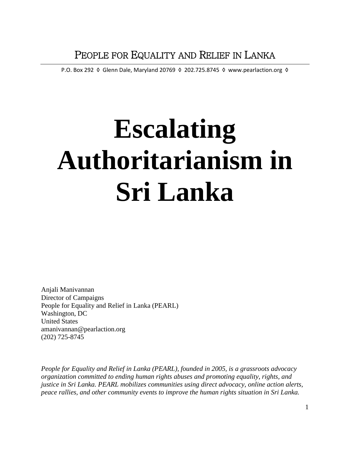P.O. Box 292 ♦ Glenn Dale, Maryland 20769 ♦ 202.725.8745 ♦ www.pearlaction.org ♦

# **Escalating Authoritarianism in Sri Lanka**

Anjali Manivannan Director of Campaigns People for Equality and Relief in Lanka (PEARL) Washington, DC United States amanivannan@pearlaction.org (202) 725-8745

*People for Equality and Relief in Lanka (PEARL), founded in 2005, is a grassroots advocacy organization committed to ending human rights abuses and promoting equality, rights, and justice in Sri Lanka. PEARL mobilizes communities using direct advocacy, online action alerts, peace rallies, and other community events to improve the human rights situation in Sri Lanka.*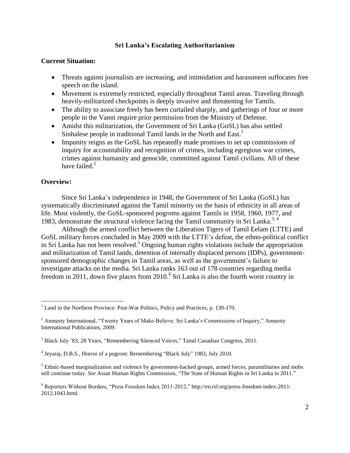#### **Sri Lanka's Escalating Authoritarianism**

#### **Current Situation:**

- Threats against journalists are increasing, and intimidation and harassment suffocates free speech on the island.
- Movement is extremely restricted, especially throughout Tamil areas. Traveling through heavily-militarized checkpoints is deeply invasive and threatening for Tamils.
- The ability to associate freely has been curtailed sharply, and gatherings of four or more people in the Vanni require prior permission from the Ministry of Defense.
- Amidst this militarization, the Government of Sri Lanka (GoSL) has also settled Sinhalese people in traditional Tamil lands in the North and East.<sup>1</sup>
- Impunity reigns as the GoSL has repeatedly made promises to set up commissions of inquiry for accountability and recognition of crimes, including egregious war crimes, crimes against humanity and genocide, committed against Tamil civilians. All of these have failed.<sup>2</sup>

#### **Overview:**

 $\overline{\phantom{a}}$ 

Since Sri Lanka's independence in 1948, the Government of Sri Lanka (GoSL) has systematically discriminated against the Tamil minority on the basis of ethnicity in all areas of life. Most violently, the GoSL-sponsored pogroms against Tamils in 1958, 1960, 1977, and 1983, demonstrate the structural violence facing the Tamil community in Sri Lanka.<sup>3, 4</sup>

Although the armed conflict between the Liberation Tigers of Tamil Eelam (LTTE) and GoSL military forces concluded in May 2009 with the LTTE's defeat, the ethno-political conflict in Sri Lanka has not been resolved. <sup>5</sup> Ongoing human rights violations include the appropriation and militarization of Tamil lands, detention of internally displaced persons (IDPs), governmentsponsored demographic changes in Tamil areas, as well as the government's failure to investigate attacks on the media. Sri Lanka ranks 163 out of 178 countries regarding media freedom in 2011, down five places from 2010.<sup>6</sup> Sri Lanka is also the fourth worst country in

<sup>&</sup>lt;sup>1</sup> Land in the Northern Province: Post-War Politics, Policy and Practices, p. 139-170.

<sup>&</sup>lt;sup>2</sup> Amnesty International, "Twenty Years of Make-Believe: Sri Lanka's Commissions of Inquiry," Amnesty International Publications, 2009.

<sup>3</sup> Black July '83, 28 Years, "Remembering Silenced Voices," Tamil Canadian Congress, 2011.

<sup>4</sup> Jeyaraj, D.B.S., Horror of a pogrom: Remembering "Black July" 1983, July 2010.

<sup>&</sup>lt;sup>5</sup> Ethnic-based marginalization and violence by government-backed groups, armed forces, paramilitaries and mobs still continue today. *See* Asian Human Rights Commission, "The State of Human Rights in Sri Lanka in 2011."

<sup>6</sup> Reporters Without Borders, "Press Freedom Index 2011-2012," http://en.rsf.org/press-freedom-index-2011- 2012,1043.html.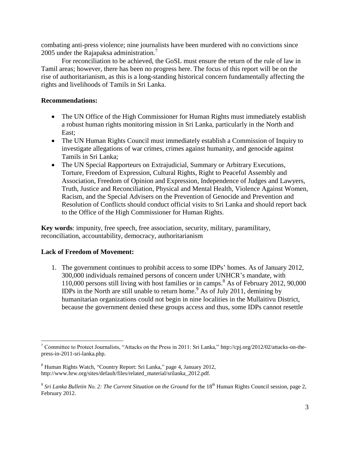combating anti-press violence; nine journalists have been murdered with no convictions since 2005 under the Rajapaksa administration.<sup>7</sup>

For reconciliation to be achieved, the GoSL must ensure the return of the rule of law in Tamil areas; however, there has been no progress here. The focus of this report will be on the rise of authoritarianism, as this is a long-standing historical concern fundamentally affecting the rights and livelihoods of Tamils in Sri Lanka.

## **Recommendations:**

- The UN Office of the High Commissioner for Human Rights must immediately establish a robust human rights monitoring mission in Sri Lanka, particularly in the North and East;
- The UN Human Rights Council must immediately establish a Commission of Inquiry to investigate allegations of war crimes, crimes against humanity, and genocide against Tamils in Sri Lanka;
- The UN Special Rapporteurs on Extrajudicial, Summary or Arbitrary Executions, Torture, Freedom of Expression, Cultural Rights, Right to Peaceful Assembly and Association, Freedom of Opinion and Expression, Independence of Judges and Lawyers, Truth, Justice and Reconciliation, Physical and Mental Health, Violence Against Women, Racism, and the Special Advisers on the Prevention of Genocide and Prevention and Resolution of Conflicts should conduct official visits to Sri Lanka and should report back to the Office of the High Commissioner for Human Rights.

**Key words**: impunity, free speech, free association, security, military, paramilitary, reconciliation, accountability, democracy, authoritarianism

# **Lack of Freedom of Movement:**

 $\overline{\phantom{a}}$ 

1. The government continues to prohibit access to some IDPs' homes. As of January 2012, 300,000 individuals remained persons of concern under UNHCR's mandate, with 110,000 persons still living with host families or in camps.<sup>8</sup> As of February 2012, 90,000 IDPs in the North are still unable to return home.<sup>9</sup> As of July 2011, demining by humanitarian organizations could not begin in nine localities in the Mullaitivu District, because the government denied these groups access and thus, some IDPs cannot resettle

<sup>7</sup> Committee to Protect Journalists, "Attacks on the Press in 2011: Sri Lanka," [http://cpj.org/2012/02/attacks-on-the](http://cpj.org/2012/02/attacks-on-the-press-in-2011-sri-lanka.php)[press-in-2011-sri-lanka.php.](http://cpj.org/2012/02/attacks-on-the-press-in-2011-sri-lanka.php)

<sup>8</sup> Human Rights Watch, "Country Report: Sri Lanka," page 4, January 2012, http://www.hrw.org/sites/default/files/related\_material/srilanka\_2012.pdf.

<sup>&</sup>lt;sup>9</sup> Sri Lanka Bulletin No. 2: The Current Situation on the Ground for the  $18<sup>th</sup>$  Human Rights Council session, page 2, February 2012.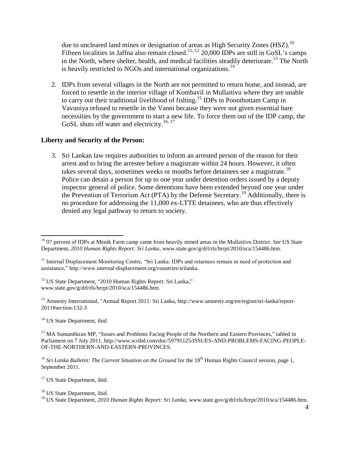due to uncleared land mines or designation of areas as High Security Zones (HSZ).<sup>10</sup> Fifteen localities in Jaffna also remain closed.<sup>11, 12</sup> 20,000 IDPs are still in GoSL's camps in the North, where shelter, health, and medical facilities steadily deteriorate.<sup>13</sup> The North is heavily restricted to NGOs and international organizations.<sup>14</sup>

2. IDPs from several villages in the North are not permitted to return home, and instead, are forced to resettle in the interior village of Kombavil in Mullaitivu where they are unable to carry out their traditional livelihood of fishing.<sup>15</sup> IDPs in Poonthottam Camp in Vavuniya refused to resettle in the Vanni because they were not given essential bare necessities by the government to start a new life. To force them out of the IDP camp, the GoSL shuts off water and electricity.<sup>16, 17</sup>

## **Liberty and Security of the Person:**

3. Sri Lankan law requires authorities to inform an arrested person of the reason for their arrest and to bring the arrestee before a magistrate within 24 hours. However, it often takes several days, sometimes weeks or months before detainees see a magistrate.<sup>18</sup> Police can detain a person for up to one year under detention orders issued by a deputy inspector general of police. Some detentions have been extended beyond one year under the Prevention of Terrorism Act (PTA) by the Defense Secretary.<sup>19</sup> Additionally, there is no procedure for addressing the 11,000 ex-LTTE detainees, who are thus effectively denied any legal pathway to return to society.

<sup>12</sup> US State Department, "2010 Human Rights Report: Sri Lanka," [www.state.gov/g/drl/rls/hrrpt/2010/sca/154486.htm.](http://www.state.gov/g/drl/rls/hrrpt/2010/sca/154486.htm)

<sup>13</sup> Amnesty International, "Annual Report 2011: Sri Lanka, http://www.amnesty.org/en/region/sri-lanka/report-2011#section-132-3

<sup>14</sup> US State Department, ibid.

<sup>15</sup> MA Sumanthiran MP, "Issues and Problems Facing People of the Northern and Eastern Provinces," tabled in Parliament on 7 July 2011, http://www.scribd.com/doc/59795125/ISSUES-AND-PROBLEMS-FACING-PEOPLE-OF-THE-NORTHERN-AND-EASTERN-PROVINCES.

<sup>16</sup> *Sri Lanka Bulletin: The Current Situation on the Ground* for the 18<sup>th</sup> Human Rights Council session, page 1, September 2011.

<sup>17</sup> US State Department, ibid.

 $\overline{\phantom{a}}$ <sup>10</sup> 97 percent of IDPs at Menik Farm camp came from heavily mined areas in the Mullaitivu District. *See* US State Department, *2010 Human Rights Report: Sri Lanka*, [www.state.gov/g/drl/rls/hrrpt/2010/sca/154486.htm.](http://www.state.gov/g/drl/rls/hrrpt/2010/sca/154486.htm)

<sup>&</sup>lt;sup>11</sup> Internal Displacement Monitoring Centre, "Sri Lanka: IDPs and returnees remain in need of protection and [assistance," http://www.internal-displacement.org/countries/srilanka.](Internal%20Displacement%20Monitoring%20Centre,%20“Sri%20Lanka:%20IDPs%20and%20returnees%20remain%20in%20need%20of%20protection%20and%20assistance,”%20http:/www.internal-displacement.org/countries/srilanka)

<sup>&</sup>lt;sup>18</sup> US State Department, ibid.

<sup>19</sup> US State Department, *2010 Human Rights Report: Sri Lanka*[, www.state.gov/g/drl/rls/hrrpt/2010/sca/154486.htm.](http://www.state.gov/g/drl/rls/hrrpt/2010/sca/154486.htm)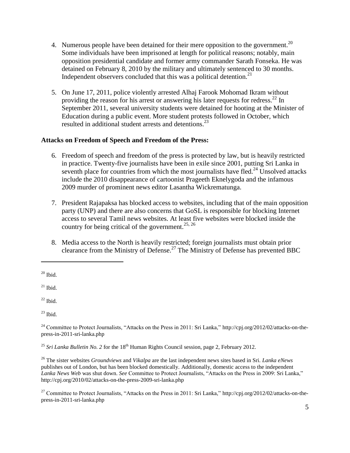- 4. Numerous people have been detained for their mere opposition to the government.<sup>20</sup> Some individuals have been imprisoned at length for political reasons; notably, main opposition presidential candidate and former army commander Sarath Fonseka. He was detained on February 8, 2010 by the military and ultimately sentenced to 30 months. Independent observers concluded that this was a political detention.<sup>21</sup>
- 5. On June 17, 2011, police violently arrested Alhaj Farook Mohomad Ikram without providing the reason for his arrest or answering his later requests for redress.<sup>22</sup> In September 2011, several university students were detained for hooting at the Minister of Education during a public event. More student protests followed in October, which resulted in additional student arrests and detentions. 23

# **Attacks on Freedom of Speech and Freedom of the Press:**

- 6. Freedom of speech and freedom of the press is protected by law, but is heavily restricted in practice. Twenty-five journalists have been in exile since 2001, putting Sri Lanka in seventh place for countries from which the most journalists have fled.<sup>24</sup> Unsolved attacks include the 2010 disappearance of cartoonist Prageeth Eknelygoda and the infamous 2009 murder of prominent news editor Lasantha Wickrematunga.
- 7. President Rajapaksa has blocked access to websites, including that of the main opposition party (UNP) and there are also concerns that GoSL is responsible for blocking Internet access to several Tamil news websites. At least five websites were blocked inside the country for being critical of the government.<sup>25, 26</sup>
- 8. Media access to the North is heavily restricted; foreign journalists must obtain prior clearance from the Ministry of Defense. <sup>27</sup> The Ministry of Defense has prevented BBC

l

 $^{21}$  Ibid.

 $20$  Ibid.

 $22$  Ibid.

 $23$  Ibid.

 $^{24}$  Committee to Protect Journalists, "Attacks on the Press in 2011: Sri Lanka," [http://cpj.org/2012/02/attacks-on-the](http://cpj.org/2012/02/attacks-on-the-press-in-2011-sri-lanka.php)[press-in-2011-sri-lanka.php](http://cpj.org/2012/02/attacks-on-the-press-in-2011-sri-lanka.php)

<sup>&</sup>lt;sup>25</sup> *Sri Lanka Bulletin No.* 2 for the 18<sup>th</sup> Human Rights Council session, page 2, February 2012.

<sup>26</sup> The sister websites *Groundviews* and *Vikalpa* are the last independent news sites based in Sri. *Lanka eNews* publishes out of London, but has been blocked domestically. Additionally, domestic access to the independent *Lanka News Web* was shut down. *See* Committee to Protect Journalists, "Attacks on the Press in 2009: Sri Lanka," <http://cpj.org/2010/02/attacks-on-the-press-2009-sri-lanka.php>

<sup>&</sup>lt;sup>27</sup> Committee to Protect Journalists, "Attacks on the Press in 2011: Sri Lanka," [http://cpj.org/2012/02/attacks-on-the](http://cpj.org/2012/02/attacks-on-the-press-in-2011-sri-lanka.php)[press-in-2011-sri-lanka.php](http://cpj.org/2012/02/attacks-on-the-press-in-2011-sri-lanka.php)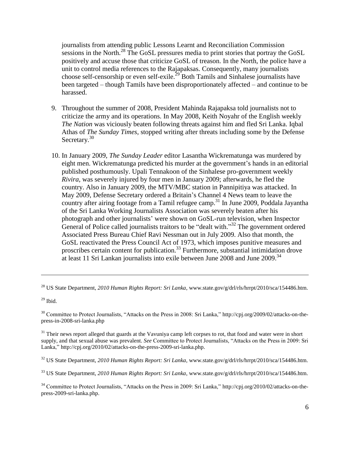journalists from attending public Lessons Learnt and Reconciliation Commission sessions in the North.<sup>28</sup> The GoSL pressures media to print stories that portray the GoSL positively and accuse those that criticize GoSL of treason. In the North, the police have a unit to control media references to the Rajapaksas. Consequently, many journalists choose self-censorship or even self-exile.<sup>29</sup> Both Tamils and Sinhalese journalists have been targeted – though Tamils have been disproportionately affected – and continue to be harassed.

- 9. Throughout the summer of 2008, President Mahinda Rajapaksa told journalists not to criticize the army and its operations. In May 2008, Keith Noyahr of the English weekly *The Nation* was viciously beaten following threats against him and fled Sri Lanka. Iqbal Athas of *The Sunday Times*, stopped writing after threats including some by the Defense Secretary.<sup>30</sup>
- 10. In January 2009, *The Sunday Leader* editor Lasantha Wickrematunga was murdered by eight men. Wickrematunga predicted his murder at the government's hands in an editorial published posthumously. Upali Tennakoon of the Sinhalese pro-government weekly *Rivira*, was severely injured by four men in January 2009; afterwards, he fled the country. Also in January 2009, the MTV/MBC station in Pannipitiya was attacked. In May 2009, Defense Secretary ordered a Britain's Channel 4 News team to leave the country after airing footage from a Tamil refugee camp. <sup>31</sup> In June 2009, Poddala Jayantha of the Sri Lanka Working Journalists Association was severely beaten after his photograph and other journalists' were shown on GoSL-run television, when Inspector General of Police called journalists traitors to be "dealt with."<sup>32</sup> The government ordered Associated Press Bureau Chief Ravi Nessman out in July 2009. Also that month, the GoSL reactivated the Press Council Act of 1973, which imposes punitive measures and proscribes certain content for publication.<sup>33</sup> Furthermore, substantial intimidation drove at least 11 Sri Lankan journalists into exile between June 2008 and June 2009.<sup>34</sup>

 $29$  Ibid.

 $\overline{\phantom{a}}$ 

<sup>30</sup> Committee to Protect Journalists, "Attacks on the Press in 2008: Sri Lanka," http://cpj.org/2009/02/attacks-on-thepress-in-2008-sri-lanka.php

 $31$  Their news report alleged that guards at the Vavuniya camp left corpses to rot, that food and water were in short supply, and that sexual abuse was prevalent. *See* Committee to Protect Journalists, "Attacks on the Press in 2009: Sri Lanka," [http://cpj.org/2010/02/attacks-on-the-press-2009-sri-lanka.php.](http://cpj.org/2010/02/attacks-on-the-press-2009-sri-lanka.php)

<sup>32</sup> US State Department, *2010 Human Rights Report: Sri Lanka*[, www.state.gov/g/drl/rls/hrrpt/2010/sca/154486.htm.](http://www.state.gov/g/drl/rls/hrrpt/2010/sca/154486.htm)

<sup>33</sup> US State Department, *2010 Human Rights Report: Sri Lanka*[, www.state.gov/g/drl/rls/hrrpt/2010/sca/154486.htm.](http://www.state.gov/g/drl/rls/hrrpt/2010/sca/154486.htm)

<sup>34</sup> Committee to Protect Journalists, "Attacks on the Press in 2009: Sri Lanka," [http://cpj.org/2010/02/attacks-on-the](http://cpj.org/2010/02/attacks-on-the-press-2009-sri-lanka.php)[press-2009-sri-lanka.php.](http://cpj.org/2010/02/attacks-on-the-press-2009-sri-lanka.php)

<sup>28</sup> US State Department, *2010 Human Rights Report: Sri Lanka*[, www.state.gov/g/drl/rls/hrrpt/2010/sca/154486.htm.](http://www.state.gov/g/drl/rls/hrrpt/2010/sca/154486.htm)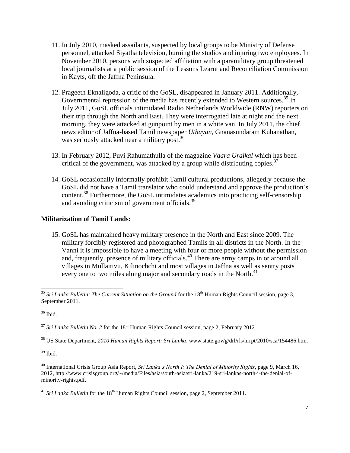- 11. In July 2010, masked assailants, suspected by local groups to be Ministry of Defense personnel, attacked Siyatha television, burning the studios and injuring two employees. In November 2010, persons with suspected affiliation with a paramilitary group threatened local journalists at a public session of the Lessons Learnt and Reconciliation Commission in Kayts, off the Jaffna Peninsula.
- 12. Prageeth Eknaligoda, a critic of the GoSL, disappeared in January 2011. Additionally, Governmental repression of the media has recently extended to Western sources.<sup>35</sup> In July 2011, GoSL officials intimidated Radio Netherlands Worldwide (RNW) reporters on their trip through the North and East. They were interrogated late at night and the next morning, they were attacked at gunpoint by men in a white van. In July 2011, the chief news editor of Jaffna-based Tamil newspaper *Uthayan*, Gnanasundaram Kuhanathan, was seriously attacked near a military post.<sup>36</sup>
- 13. In February 2012, Puvi Rahumathulla of the magazine *Vaara Uraikal* which has been critical of the government, was attacked by a group while distributing copies.<sup>37</sup>
- 14. GoSL occasionally informally prohibit Tamil cultural productions, allegedly because the GoSL did not have a Tamil translator who could understand and approve the production's content.<sup>38</sup> Furthermore, the GoSL intimidates academics into practicing self-censorship and avoiding criticism of government officials.<sup>39</sup>

# **Militarization of Tamil Lands:**

15. GoSL has maintained heavy military presence in the North and East since 2009. The military forcibly registered and photographed Tamils in all districts in the North. In the Vanni it is impossible to have a meeting with four or more people without the permission and, frequently, presence of military officials. <sup>40</sup> There are army camps in or around all villages in Mullaitivu, Kilinochchi and most villages in Jaffna as well as sentry posts every one to two miles along major and secondary roads in the North.<sup>41</sup>

 $36$  Ibid.

 $37$  *Sri Lanka Bulletin No.* 2 for the 18<sup>th</sup> Human Rights Council session, page 2, February 2012

<sup>38</sup> US State Department, *2010 Human Rights Report: Sri Lanka*[, www.state.gov/g/drl/rls/hrrpt/2010/sca/154486.htm.](http://www.state.gov/g/drl/rls/hrrpt/2010/sca/154486.htm)

 $39$  Ibid.

 $41$  *Sri Lanka Bulletin* for the  $18<sup>th</sup>$  Human Rights Council session, page 2, September 2011.

 $\overline{\phantom{a}}$ <sup>35</sup> *Sri Lanka Bulletin: The Current Situation on the Ground* for the 18<sup>th</sup> Human Rights Council session, page 3, September 2011.

<sup>40</sup> International Crisis Group Asia Report, *Sri Lanka's North I: The Denial of Minority Rights*, page 9, March 16, 2012, [http://www.crisisgroup.org/~/media/Files/asia/south-asia/sri-lanka/219-sri-lankas-north-i-the-denial-of](http://www.crisisgroup.org/~/media/Files/asia/south-asia/sri-lanka/219-sri-lankas-north-i-the-denial-of-minority-rights.pdf)[minority-rights.pdf.](http://www.crisisgroup.org/~/media/Files/asia/south-asia/sri-lanka/219-sri-lankas-north-i-the-denial-of-minority-rights.pdf)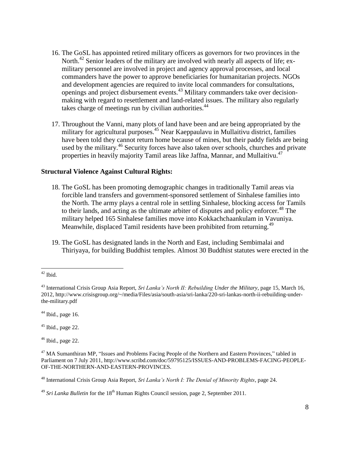- 16. The GoSL has appointed retired military officers as governors for two provinces in the North.<sup>42</sup> Senior leaders of the military are involved with nearly all aspects of life; exmilitary personnel are involved in project and agency approval processes, and local commanders have the power to approve beneficiaries for humanitarian projects. NGOs and development agencies are required to invite local commanders for consultations, openings and project disbursement events.<sup>43</sup> Military commanders take over decisionmaking with regard to resettlement and land-related issues. The military also regularly takes charge of meetings run by civilian authorities.<sup>44</sup>
- 17. Throughout the Vanni, many plots of land have been and are being appropriated by the military for agricultural purposes.<sup>45</sup> Near Kaeppaulavu in Mullaitivu district, families have been told they cannot return home because of mines, but their paddy fields are being used by the military.<sup>46</sup> Security forces have also taken over schools, churches and private properties in heavily majority Tamil areas like Jaffna, Mannar, and Mullaitivu.<sup>47</sup>

### **Structural Violence Against Cultural Rights:**

- 18. The GoSL has been promoting demographic changes in traditionally Tamil areas via forcible land transfers and government-sponsored settlement of Sinhalese families into the North. The army plays a central role in settling Sinhalese, blocking access for Tamils to their lands, and acting as the ultimate arbiter of disputes and policy enforcer.<sup>48</sup> The military helped 165 Sinhalese families move into Kokkachchaankulam in Vavuniya. Meanwhile, displaced Tamil residents have been prohibited from returning.<sup>49</sup>
- 19. The GoSL has designated lands in the North and East, including Sembimalai and Thiriyaya, for building Buddhist temples. Almost 30 Buddhist statutes were erected in the

 $44$  Ibid., page 16.

 $45$  Ibid., page 22.

 $46$  Ibid., page 22.

<sup>48</sup> International Crisis Group Asia Report, *Sri Lanka's North I: The Denial of Minority Rights*, page 24.

 $\overline{a}$  $42$  Ibid.

<sup>43</sup> International Crisis Group Asia Report, *Sri Lanka's North II: Rebuilding Under the Military*, page 15, March 16, 2012, [http://www.crisisgroup.org/~/media/Files/asia/south-asia/sri-lanka/220-sri-lankas-north-ii-rebuilding-under](http://www.crisisgroup.org/~/media/Files/asia/south-asia/sri-lanka/220-sri-lankas-north-ii-rebuilding-under-the-military.pdf)[the-military.pdf](http://www.crisisgroup.org/~/media/Files/asia/south-asia/sri-lanka/220-sri-lankas-north-ii-rebuilding-under-the-military.pdf)

<sup>&</sup>lt;sup>47</sup> MA Sumanthiran MP, "Issues and Problems Facing People of the Northern and Eastern Provinces," tabled in Parliament on 7 July 2011, http://www.scribd.com/doc/59795125/ISSUES-AND-PROBLEMS-FACING-PEOPLE-OF-THE-NORTHERN-AND-EASTERN-PROVINCES.

<sup>&</sup>lt;sup>49</sup> *Sri Lanka Bulletin* for the 18<sup>th</sup> Human Rights Council session, page 2, September 2011.